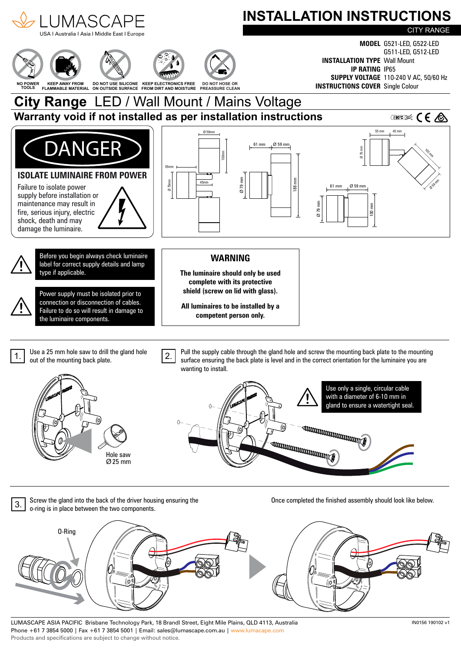

LUMASCAPE ASIA PACIFIC Brisbane Technology Park, 18 Brandl Street, Eight Mile Plains, QLD 4113, Australia Phone +61 7 3854 5000 | Fax +61 7 3854 5001 | Email: sales@lumascape.com.au | www.lumacape.com Products and specifications are subject to change without notice.

IN0156 190102 v1